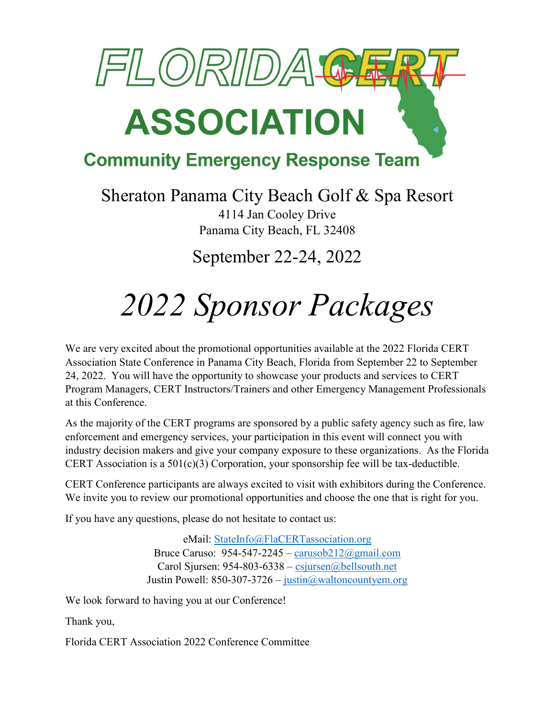

#### **Community Emergency Response Team**

Sheraton Panama City Beach Golf & Spa Resort 4114 Jan Cooley Drive Panama City Beach, FL 32408

September 22-24, 2022

### *2022 Sponsor Packages*

We are very excited about the promotional opportunities available at the 2022 Florida CERT Association State Conference in Panama City Beach, Florida from September 22 to September 24, 2022. You will have the opportunity to showcase your products and services to CERT Program Managers, CERT Instructors/Trainers and other Emergency Management Professionals at this Conference.

As the majority of the CERT programs are sponsored by a public safety agency such as fire, law enforcement and emergency services, your participation in this event will connect you with industry decision makers and give your company exposure to these organizations. As the Florida CERT Association is a  $501(c)(3)$  Corporation, your sponsorship fee will be tax-deductible.

CERT Conference participants are always excited to visit with exhibitors during the Conference. We invite you to review our promotional opportunities and choose the one that is right for you.

If you have any questions, please do not hesitate to contact us:

eMail: StateInfo@FlaCERTassociation.org Bruce Caruso:  $954-547-2245 - \text{carusob212}$ @gmail.com Carol Sjursen: 954-803-6338 – csjursen@bellsouth.net Justin Powell: 850-307-3726 – justin@waltoncountyem.org

We look forward to having you at our Conference!

Thank you,

Florida CERT Association 2022 Conference Committee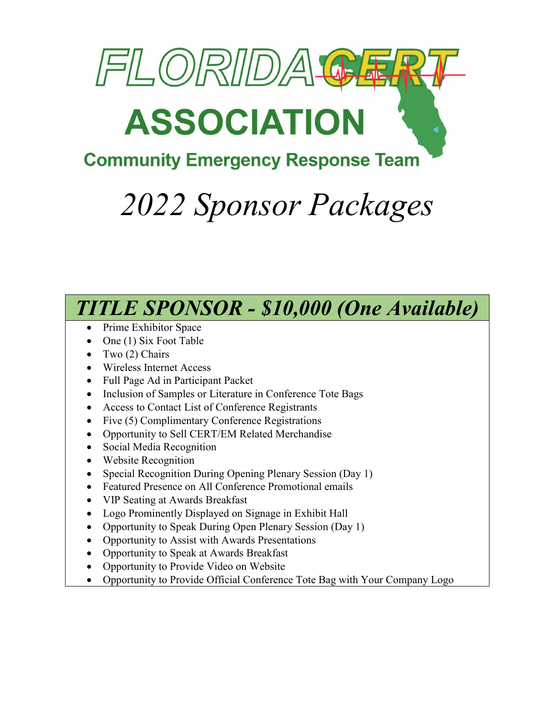

### **Community Emergency Response Team**

## *2022 Sponsor Packages*



- Two (2) Chairs
- Wireless Internet Access
- Full Page Ad in Participant Packet
- Inclusion of Samples or Literature in Conference Tote Bags
- Access to Contact List of Conference Registrants
- Five (5) Complimentary Conference Registrations
- Opportunity to Sell CERT/EM Related Merchandise
- Social Media Recognition
- Website Recognition
- Special Recognition During Opening Plenary Session (Day 1)
- Featured Presence on All Conference Promotional emails
- VIP Seating at Awards Breakfast
- Logo Prominently Displayed on Signage in Exhibit Hall
- Opportunity to Speak During Open Plenary Session (Day 1)
- Opportunity to Assist with Awards Presentations
- Opportunity to Speak at Awards Breakfast
- Opportunity to Provide Video on Website
- Opportunity to Provide Official Conference Tote Bag with Your Company Logo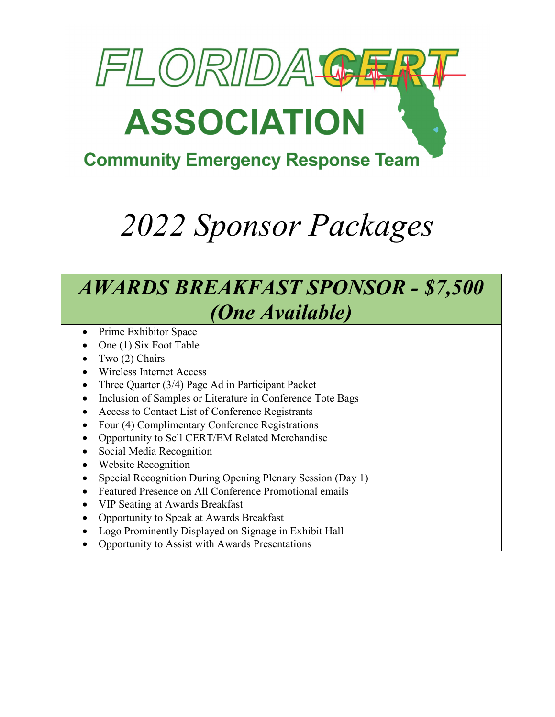

### **Community Emergency Response Team**

## *2022 Sponsor Packages*

### *AWARDS BREAKFAST SPONSOR - \$7,500 (One Available)*

- Prime Exhibitor Space
- $\bullet$  One (1) Six Foot Table
- $\bullet$  Two (2) Chairs
- Wireless Internet Access
- Three Quarter (3/4) Page Ad in Participant Packet
- Inclusion of Samples or Literature in Conference Tote Bags
- Access to Contact List of Conference Registrants
- Four (4) Complimentary Conference Registrations
- Opportunity to Sell CERT/EM Related Merchandise
- Social Media Recognition
- Website Recognition
- Special Recognition During Opening Plenary Session (Day 1)
- Featured Presence on All Conference Promotional emails
- VIP Seating at Awards Breakfast
- Opportunity to Speak at Awards Breakfast
- Logo Prominently Displayed on Signage in Exhibit Hall
- Opportunity to Assist with Awards Presentations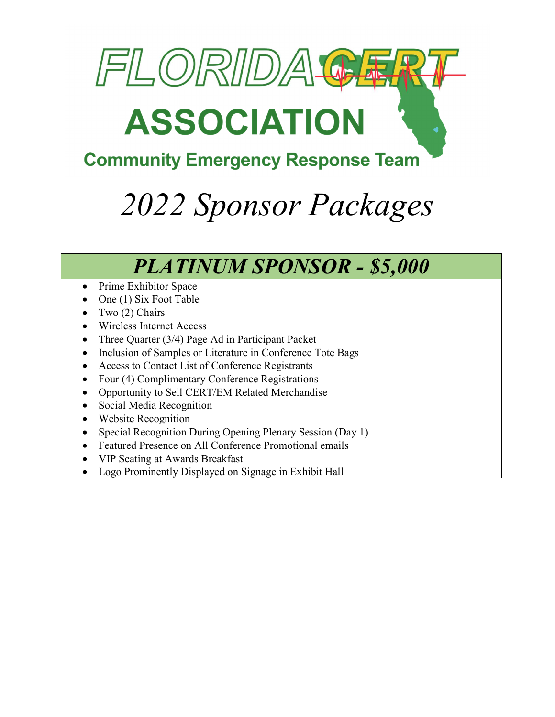

### **Community Emergency Response Team**

## *2022 Sponsor Packages*

### *PLATINUM SPONSOR - \$5,000*

- Prime Exhibitor Space
- One (1) Six Foot Table
- Two (2) Chairs
- Wireless Internet Access
- Three Quarter (3/4) Page Ad in Participant Packet
- Inclusion of Samples or Literature in Conference Tote Bags
- Access to Contact List of Conference Registrants
- Four (4) Complimentary Conference Registrations
- Opportunity to Sell CERT/EM Related Merchandise
- Social Media Recognition
- Website Recognition
- Special Recognition During Opening Plenary Session (Day 1)
- Featured Presence on All Conference Promotional emails
- VIP Seating at Awards Breakfast
- Logo Prominently Displayed on Signage in Exhibit Hall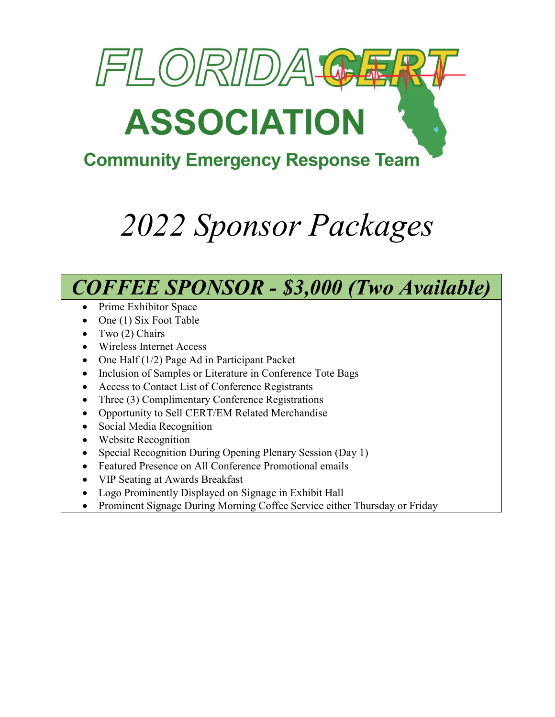

### **Community Emergency Response Team**

# *2022 Sponsor Packages*

### *COFFEE SPONSOR - \$3,000 (Two Available)*

- Prime Exhibitor Space
- $\bullet$  One (1) Six Foot Table
- $\bullet$  Two (2) Chairs
- Wireless Internet Access
- One Half (1/2) Page Ad in Participant Packet
- Inclusion of Samples or Literature in Conference Tote Bags
- Access to Contact List of Conference Registrants
- Three (3) Complimentary Conference Registrations
- Opportunity to Sell CERT/EM Related Merchandise
- Social Media Recognition
- Website Recognition
- Special Recognition During Opening Plenary Session (Day 1)
- Featured Presence on All Conference Promotional emails
- VIP Seating at Awards Breakfast
- Logo Prominently Displayed on Signage in Exhibit Hall
- Prominent Signage During Morning Coffee Service either Thursday or Friday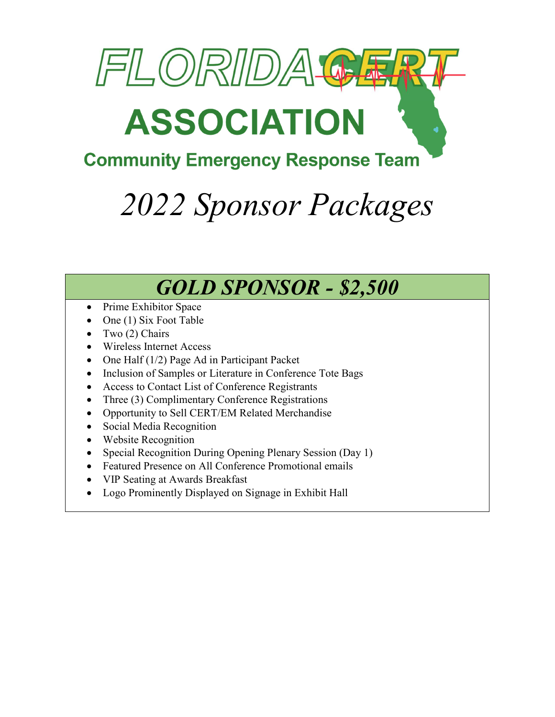

### **Community Emergency Response Team**

## *2022 Sponsor Packages*

### *GOLD SPONSOR - \$2,500*

- Prime Exhibitor Space
- One (1) Six Foot Table
- Two (2) Chairs
- Wireless Internet Access
- One Half (1/2) Page Ad in Participant Packet
- Inclusion of Samples or Literature in Conference Tote Bags
- Access to Contact List of Conference Registrants
- Three (3) Complimentary Conference Registrations
- Opportunity to Sell CERT/EM Related Merchandise
- Social Media Recognition
- Website Recognition
- Special Recognition During Opening Plenary Session (Day 1)
- Featured Presence on All Conference Promotional emails
- VIP Seating at Awards Breakfast
- Logo Prominently Displayed on Signage in Exhibit Hall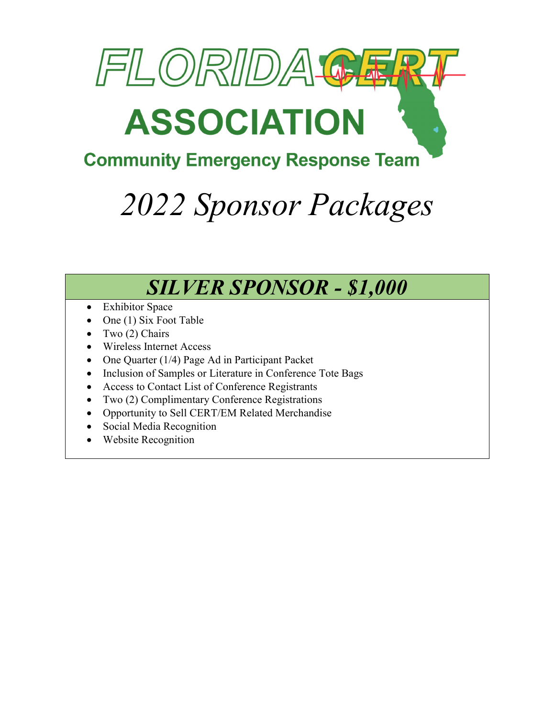

### **Community Emergency Response Team**

## *2022 Sponsor Packages*

### *SILVER SPONSOR - \$1,000*

- Exhibitor Space
- One (1) Six Foot Table
- Two (2) Chairs
- Wireless Internet Access
- One Quarter (1/4) Page Ad in Participant Packet
- Inclusion of Samples or Literature in Conference Tote Bags
- Access to Contact List of Conference Registrants
- Two (2) Complimentary Conference Registrations
- Opportunity to Sell CERT/EM Related Merchandise
- Social Media Recognition
- Website Recognition